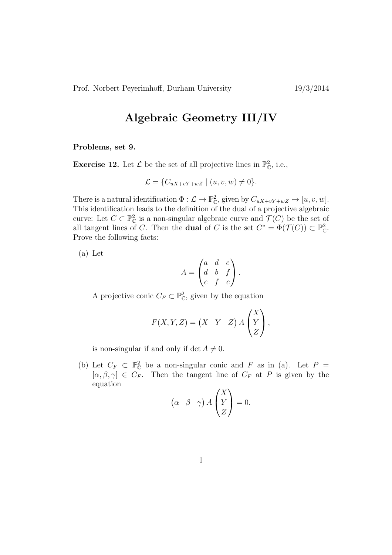## Algebraic Geometry III/IV

Problems, set 9.

**Exercise 12.** Let  $\mathcal{L}$  be the set of all projective lines in  $\mathbb{P}_{\mathbb{C}}^2$ , i.e.,

$$
\mathcal{L} = \{C_{uX+vY+wZ} \mid (u, v, w) \neq 0\}.
$$

There is a natural identification  $\Phi : \mathcal{L} \to \mathbb{P}_{\mathbb{C}}^2$ , given by  $C_{uX+vY+wZ} \mapsto [u, v, w]$ . This identification leads to the definition of the dual of a projective algebraic curve: Let  $C \subset \mathbb{P}_{\mathbb{C}}^2$  is a non-singular algebraic curve and  $\mathcal{T}(C)$  be the set of all tangent lines of C. Then the **dual** of C is the set  $C^* = \Phi(\mathcal{T}(C)) \subset \mathbb{P}_{\mathbb{C}}^2$ . Prove the following facts:

(a) Let

$$
A = \begin{pmatrix} a & d & e \\ d & b & f \\ e & f & c \end{pmatrix}.
$$

A projective conic  $C_F \subset \mathbb{P}_{\mathbb{C}}^2$ , given by the equation

$$
F(X, Y, Z) = \begin{pmatrix} X & Y & Z \end{pmatrix} A \begin{pmatrix} X \\ Y \\ Z \end{pmatrix},
$$

is non-singular if and only if det  $A \neq 0$ .

(b) Let  $C_F \subset \mathbb{P}_{\mathbb{C}}^2$  be a non-singular conic and F as in (a). Let  $P =$  $[\alpha, \beta, \gamma] \in C_F$ . Then the tangent line of  $C_F$  at P is given by the equation

$$
\begin{pmatrix} \alpha & \beta & \gamma \end{pmatrix} A \begin{pmatrix} X \\ Y \\ Z \end{pmatrix} = 0.
$$